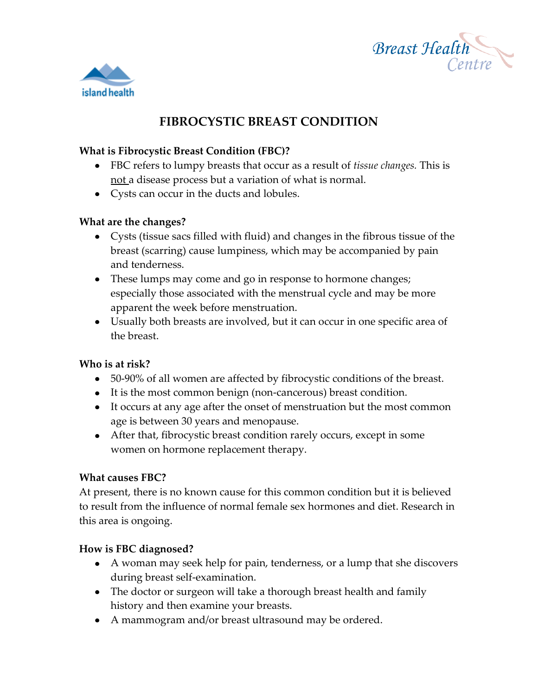



# **FIBROCYSTIC BREAST CONDITION**

#### **What is Fibrocystic Breast Condition (FBC)?**

- FBC refers to lumpy breasts that occur as a result of *tissue changes.* This is not a disease process but a variation of what is normal.
- Cysts can occur in the ducts and lobules.

#### **What are the changes?**

- Cysts (tissue sacs filled with fluid) and changes in the fibrous tissue of the breast (scarring) cause lumpiness, which may be accompanied by pain and tenderness.
- These lumps may come and go in response to hormone changes; especially those associated with the menstrual cycle and may be more apparent the week before menstruation.
- Usually both breasts are involved, but it can occur in one specific area of the breast.

## **Who is at risk?**

- 50-90% of all women are affected by fibrocystic conditions of the breast.
- It is the most common benign (non-cancerous) breast condition.
- It occurs at any age after the onset of menstruation but the most common age is between 30 years and menopause.
- After that, fibrocystic breast condition rarely occurs, except in some women on hormone replacement therapy.

## **What causes FBC?**

At present, there is no known cause for this common condition but it is believed to result from the influence of normal female sex hormones and diet. Research in this area is ongoing.

## **How is FBC diagnosed?**

- A woman may seek help for pain, tenderness, or a lump that she discovers during breast self-examination.
- The doctor or surgeon will take a thorough breast health and family history and then examine your breasts.
- A mammogram and/or breast ultrasound may be ordered.